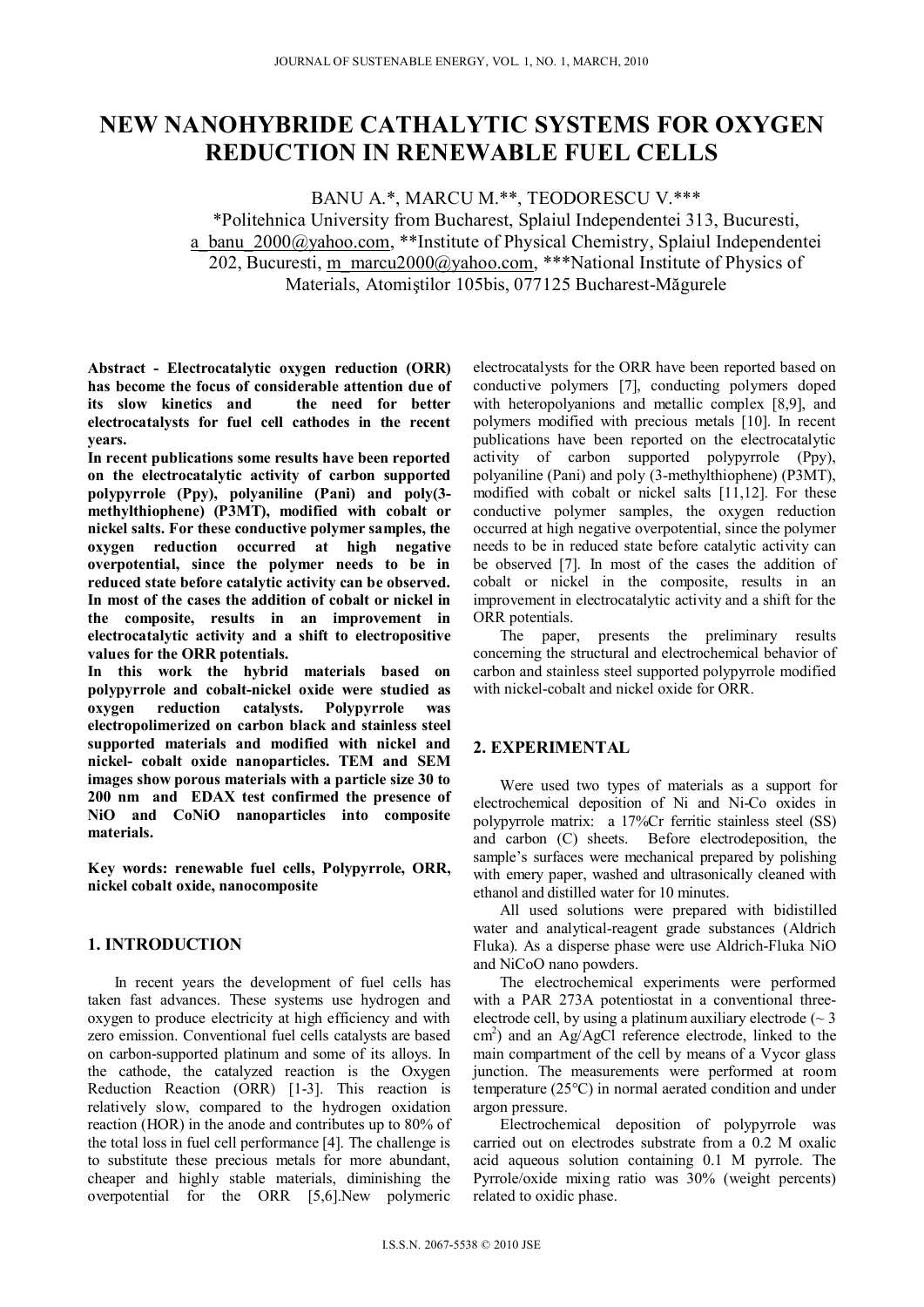# **NEW NANOHYBRIDE CATHALYTIC SYSTEMS FOR OXYGEN REDUCTION IN RENEWABLE FUEL CELLS**

BANU A.\*, MARCU M.\*\*, TEODORESCU V.\*\*\*

\*Politehnica University from Bucharest, Splaiul Independentei 313, Bucuresti, a banu 2000@yahoo.com, \*\*Institute of Physical Chemistry, Splaiul Independentei 202, Bucuresti, m\_marcu2000@yahoo.com, \*\*\*National Institute of Physics of Materials, Atomiştilor 105bis, 077125 Bucharest-Măgurele

**Abstract - Electrocatalytic oxygen reduction (ORR) has become the focus of considerable attention due of its slow kinetics and the need for better electrocatalysts for fuel cell cathodes in the recent years.** 

**In recent publications some results have been reported on the electrocatalytic activity of carbon supported polypyrrole (Ppy), polyaniline (Pani) and poly(3 methylthiophene) (P3MT), modified with cobalt or nickel salts. For these conductive polymer samples, the oxygen reduction occurred at high negative overpotential, since the polymer needs to be in reduced state before catalytic activity can be observed. In most of the cases the addition of cobalt or nickel in the composite, results in an improvement in electrocatalytic activity and a shift to electropositive values for the ORR potentials.** 

**In this work the hybrid materials based on polypyrrole and cobalt-nickel oxide were studied as oxygen reduction catalysts. Polypyrrole was electropolimerized on carbon black and stainless steel supported materials and modified with nickel and nickel- cobalt oxide nanoparticles. TEM and SEM images show porous materials with a particle size 30 to 200 nm and EDAX test confirmed the presence of NiO and CoNiO nanoparticles into composite materials.** 

**Key words: renewable fuel cells, Polypyrrole, ORR, nickel cobalt oxide, nanocomposite** 

## **1. INTRODUCTION**

In recent years the development of fuel cells has taken fast advances. These systems use hydrogen and oxygen to produce electricity at high efficiency and with zero emission. Conventional fuel cells catalysts are based on carbon-supported platinum and some of its alloys. In the cathode, the catalyzed reaction is the Oxygen Reduction Reaction (ORR) [1-3]. This reaction is relatively slow, compared to the hydrogen oxidation reaction (HOR) in the anode and contributes up to 80% of the total loss in fuel cell performance [4]. The challenge is to substitute these precious metals for more abundant, cheaper and highly stable materials, diminishing the overpotential for the ORR [5,6].New polymeric

electrocatalysts for the ORR have been reported based on conductive polymers [7], conducting polymers doped with heteropolyanions and metallic complex [8,9], and polymers modified with precious metals [10]. In recent publications have been reported on the electrocatalytic activity of carbon supported polypyrrole (Ppy), polyaniline (Pani) and poly (3-methylthiophene) (P3MT), modified with cobalt or nickel salts [11,12]. For these conductive polymer samples, the oxygen reduction occurred at high negative overpotential, since the polymer needs to be in reduced state before catalytic activity can be observed [7]. In most of the cases the addition of cobalt or nickel in the composite, results in an improvement in electrocatalytic activity and a shift for the ORR potentials.

The paper, presents the preliminary results concerning the structural and electrochemical behavior of carbon and stainless steel supported polypyrrole modified with nickel-cobalt and nickel oxide for ORR.

## **2. EXPERIMENTAL**

Were used two types of materials as a support for electrochemical deposition of Ni and Ni-Co oxides in polypyrrole matrix: a 17%Cr ferritic stainless steel (SS) and carbon (C) sheets. Before electrodeposition, the sample's surfaces were mechanical prepared by polishing with emery paper, washed and ultrasonically cleaned with ethanol and distilled water for 10 minutes.

All used solutions were prepared with bidistilled water and analytical-reagent grade substances (Aldrich Fluka). As a disperse phase were use Aldrich-Fluka NiO and NiCoO nano powders.

The electrochemical experiments were performed with a PAR 273A potentiostat in a conventional threeelectrode cell, by using a platinum auxiliary electrode ( $\sim$  3 cm<sup>2</sup>) and an Ag/AgCl reference electrode, linked to the main compartment of the cell by means of a Vycor glass junction. The measurements were performed at room temperature (25°C) in normal aerated condition and under argon pressure.

Electrochemical deposition of polypyrrole was carried out on electrodes substrate from a 0.2 M oxalic acid aqueous solution containing 0.1 M pyrrole. The Pyrrole/oxide mixing ratio was 30% (weight percents) related to oxidic phase.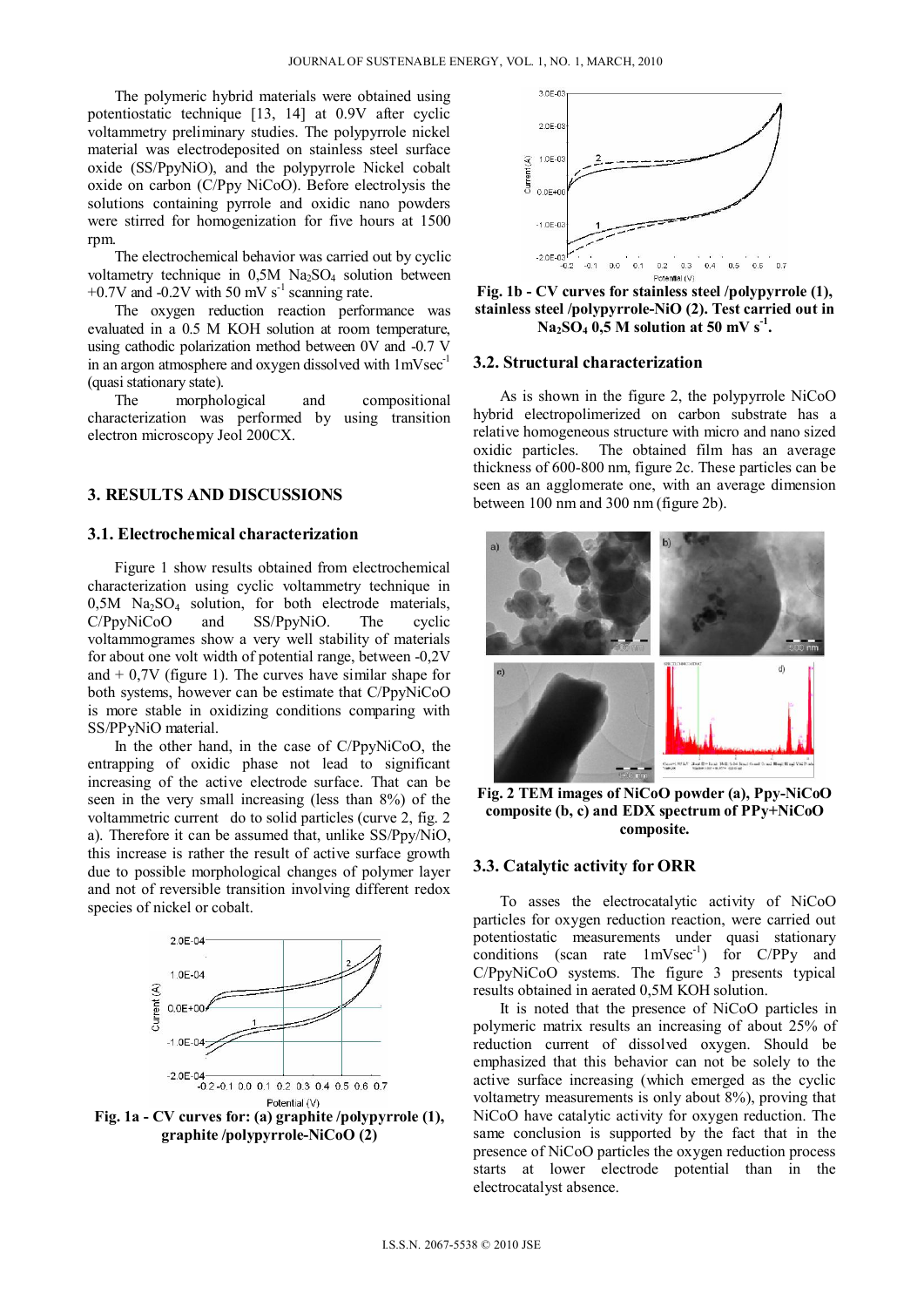The polymeric hybrid materials were obtained using potentiostatic technique [13, 14] at 0.9V after cyclic voltammetry preliminary studies. The polypyrrole nickel material was electrodeposited on stainless steel surface oxide (SS/PpyNiO), and the polypyrrole Nickel cobalt oxide on carbon (C/Ppy NiCoO). Before electrolysis the solutions containing pyrrole and oxidic nano powders were stirred for homogenization for five hours at 1500 rpm.

The electrochemical behavior was carried out by cyclic voltametry technique in  $0.5M$  Na<sub>2</sub>SO<sub>4</sub> solution between  $+0.7V$  and  $-0.2V$  with 50 mV s<sup>-1</sup> scanning rate.

The oxygen reduction reaction performance was evaluated in a 0.5 M KOH solution at room temperature, using cathodic polarization method between 0V and -0.7 V in an argon atmosphere and oxygen dissolved with  $1 \text{mVsec}^{-1}$ (quasi stationary state).

The morphological and compositional characterization was performed by using transition electron microscopy Jeol 200CX.

## **3. RESULTS AND DISCUSSIONS**

## **3.1. Electrochemical characterization**

Figure 1 show results obtained from electrochemical characterization using cyclic voltammetry technique in  $0,5M$  Na<sub>2</sub>SO<sub>4</sub> solution, for both electrode materials, C/PpyNiCoO and SS/PpyNiO. The cyclic voltammogrames show a very well stability of materials for about one volt width of potential range, between -0,2V and  $+$  0,7V (figure 1). The curves have similar shape for both systems, however can be estimate that C/PpyNiCoO is more stable in oxidizing conditions comparing with SS/PPyNiO material.

In the other hand, in the case of C/PpyNiCoO, the entrapping of oxidic phase not lead to significant increasing of the active electrode surface. That can be seen in the very small increasing (less than 8%) of the voltammetric current do to solid particles (curve 2, fig. 2 a). Therefore it can be assumed that, unlike SS/Ppy/NiO, this increase is rather the result of active surface growth due to possible morphological changes of polymer layer and not of reversible transition involving different redox species of nickel or cobalt.



**graphite /polypyrrole-NiCoO (2)** 



**Fig. 1b - CV curves for stainless steel /polypyrrole (1), stainless steel /polypyrrole-NiO (2). Test carried out in**   $Na<sub>2</sub>SO<sub>4</sub>$  0,5 M solution at 50 mV s<sup>-1</sup>.

#### **3.2. Structural characterization**

As is shown in the figure 2, the polypyrrole NiCoO hybrid electropolimerized on carbon substrate has a relative homogeneous structure with micro and nano sized oxidic particles. The obtained film has an average thickness of 600-800 nm, figure 2c. These particles can be seen as an agglomerate one, with an average dimension between 100 nm and 300 nm (figure 2b).



**Fig. 2 TEM images of NiCoO powder (a), Ppy-NiCoO composite (b, c) and EDX spectrum of PPy+NiCoO composite.** 

### **3.3. Catalytic activity for ORR**

To asses the electrocatalytic activity of NiCoO particles for oxygen reduction reaction, were carried out potentiostatic measurements under quasi stationary conditions (scan rate  $1 \text{mVsec}^{-1}$ ) for C/PPy and C/PpyNiCoO systems. The figure 3 presents typical results obtained in aerated 0,5M KOH solution.

It is noted that the presence of NiCoO particles in polymeric matrix results an increasing of about 25% of reduction current of dissolved oxygen. Should be emphasized that this behavior can not be solely to the active surface increasing (which emerged as the cyclic voltametry measurements is only about 8%), proving that NiCoO have catalytic activity for oxygen reduction. The same conclusion is supported by the fact that in the presence of NiCoO particles the oxygen reduction process starts at lower electrode potential than in the electrocatalyst absence.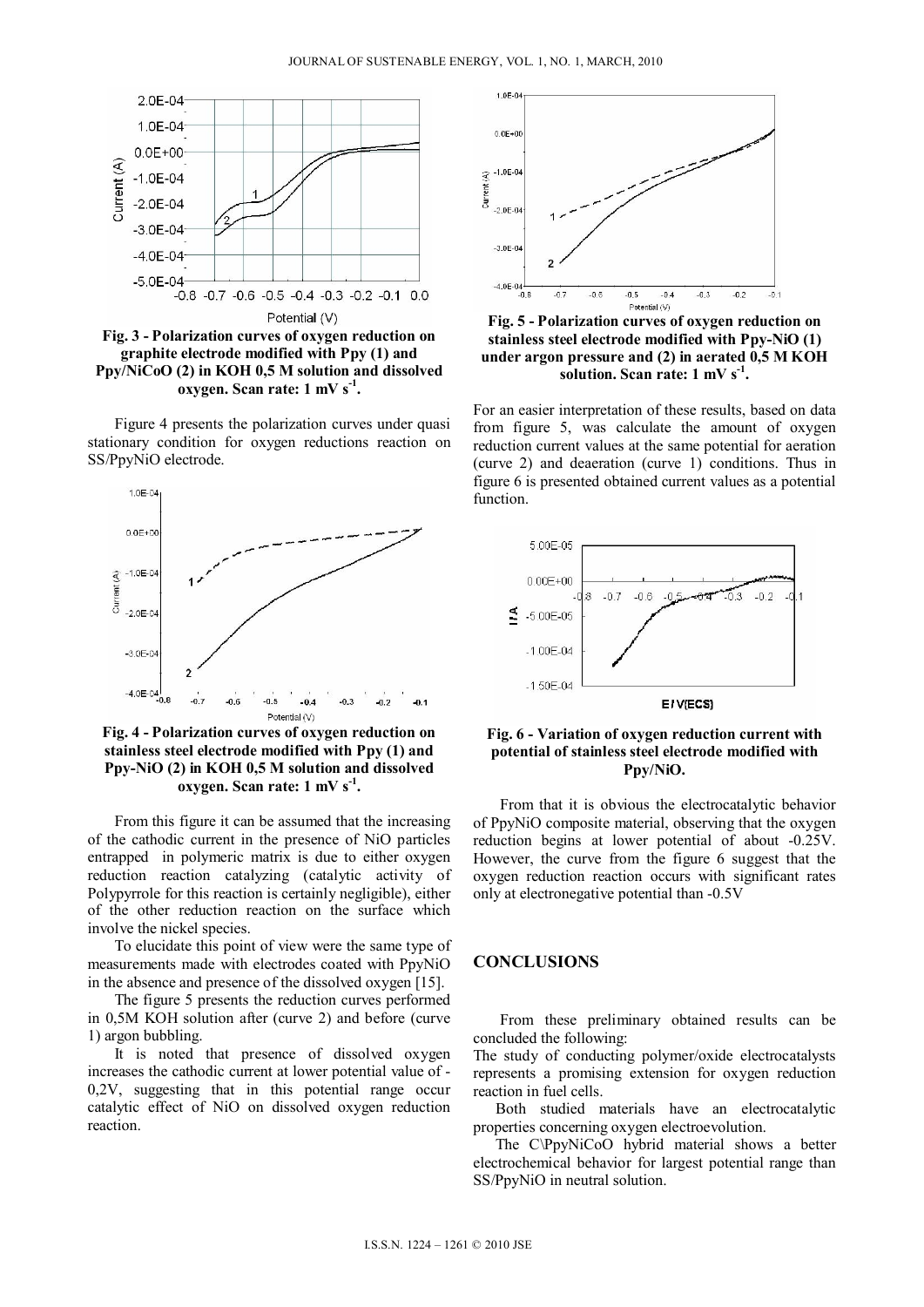

**oxygen. Scan rate: 1 mV s-1.** 

Figure 4 presents the polarization curves under quasi stationary condition for oxygen reductions reaction on SS/PpyNiO electrode.



**Fig. 4 - Polarization curves of oxygen reduction on stainless steel electrode modified with Ppy (1) and Ppy-NiO (2) in KOH 0,5 M solution and dissolved** oxygen. Scan rate: 1 mV s<sup>-1</sup>.

From this figure it can be assumed that the increasing of the cathodic current in the presence of NiO particles entrapped in polymeric matrix is due to either oxygen reduction reaction catalyzing (catalytic activity of Polypyrrole for this reaction is certainly negligible), either of the other reduction reaction on the surface which involve the nickel species.

To elucidate this point of view were the same type of measurements made with electrodes coated with PpyNiO in the absence and presence of the dissolved oxygen [15].

The figure 5 presents the reduction curves performed in 0,5M KOH solution after (curve 2) and before (curve 1) argon bubbling.

It is noted that presence of dissolved oxygen increases the cathodic current at lower potential value of - 0,2V, suggesting that in this potential range occur catalytic effect of NiO on dissolved oxygen reduction reaction.



**Fig. 5 - Polarization curves of oxygen reduction on stainless steel electrode modified with Ppy-NiO (1) under argon pressure and (2) in aerated 0,5 M KOH solution. Scan rate: 1 mV s-1.** 

For an easier interpretation of these results, based on data from figure 5, was calculate the amount of oxygen reduction current values at the same potential for aeration (curve 2) and deaeration (curve 1) conditions. Thus in figure 6 is presented obtained current values as a potential function.



**Fig. 6 - Variation of oxygen reduction current with potential of stainless steel electrode modified with Ppy/NiO.** 

From that it is obvious the electrocatalytic behavior of PpyNiO composite material, observing that the oxygen reduction begins at lower potential of about -0.25V. However, the curve from the figure 6 suggest that the oxygen reduction reaction occurs with significant rates only at electronegative potential than -0.5V

## **CONCLUSIONS**

From these preliminary obtained results can be concluded the following:

The study of conducting polymer/oxide electrocatalysts represents a promising extension for oxygen reduction reaction in fuel cells.

Both studied materials have an electrocatalytic properties concerning oxygen electroevolution.

The C\PpyNiCoO hybrid material shows a better electrochemical behavior for largest potential range than SS/PpyNiO in neutral solution.